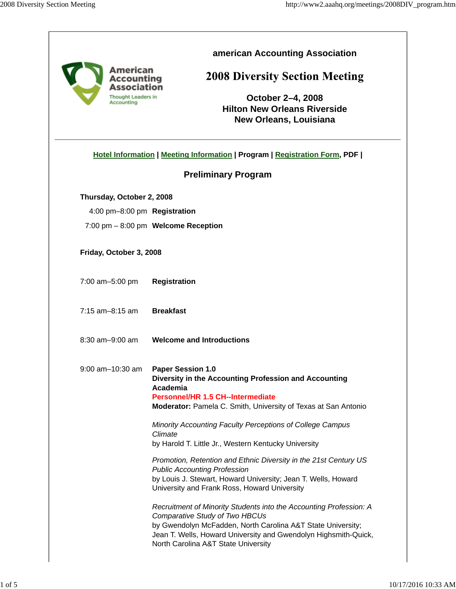| American<br>Accounting<br>Association<br><b>Thought Leaders in</b><br>Accounting | american Accounting Association<br><b>2008 Diversity Section Meeting</b><br>October 2-4, 2008<br><b>Hilton New Orleans Riverside</b><br><b>New Orleans, Louisiana</b>                                                                                                                |  |  |  |
|----------------------------------------------------------------------------------|--------------------------------------------------------------------------------------------------------------------------------------------------------------------------------------------------------------------------------------------------------------------------------------|--|--|--|
|                                                                                  | Hotel Information   Meeting Information   Program   Registration Form, PDF                                                                                                                                                                                                           |  |  |  |
|                                                                                  | <b>Preliminary Program</b>                                                                                                                                                                                                                                                           |  |  |  |
| Thursday, October 2, 2008                                                        |                                                                                                                                                                                                                                                                                      |  |  |  |
| 4:00 pm-8:00 pm Registration                                                     |                                                                                                                                                                                                                                                                                      |  |  |  |
|                                                                                  | 7:00 pm - 8:00 pm Welcome Reception                                                                                                                                                                                                                                                  |  |  |  |
| Friday, October 3, 2008                                                          |                                                                                                                                                                                                                                                                                      |  |  |  |
| 7:00 am-5:00 pm                                                                  | <b>Registration</b>                                                                                                                                                                                                                                                                  |  |  |  |
| $7:15$ am $-8:15$ am                                                             | <b>Breakfast</b>                                                                                                                                                                                                                                                                     |  |  |  |
| $8:30$ am $-9:00$ am                                                             | <b>Welcome and Introductions</b>                                                                                                                                                                                                                                                     |  |  |  |
| 9:00 am-10:30 am   Paper Session 1.0                                             | Diversity in the Accounting Profession and Accounting<br>Academia<br>Personnel/HR 1.5 CH--Intermediate<br>Moderator: Pamela C. Smith, University of Texas at San Antonio                                                                                                             |  |  |  |
|                                                                                  | Minority Accounting Faculty Perceptions of College Campus<br>Climate<br>by Harold T. Little Jr., Western Kentucky University                                                                                                                                                         |  |  |  |
|                                                                                  | Promotion, Retention and Ethnic Diversity in the 21st Century US<br><b>Public Accounting Profession</b><br>by Louis J. Stewart, Howard University; Jean T. Wells, Howard<br>University and Frank Ross, Howard University                                                             |  |  |  |
|                                                                                  | Recruitment of Minority Students into the Accounting Profession: A<br><b>Comparative Study of Two HBCUs</b><br>by Gwendolyn McFadden, North Carolina A&T State University;<br>Jean T. Wells, Howard University and Gwendolyn Highsmith-Quick,<br>North Carolina A&T State University |  |  |  |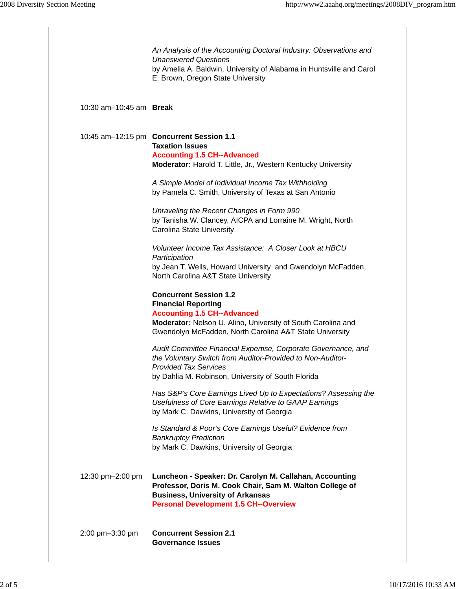|                                  | An Analysis of the Accounting Doctoral Industry: Observations and<br><b>Unanswered Questions</b><br>by Amelia A. Baldwin, University of Alabama in Huntsville and Carol<br>E. Brown, Oregon State University                 |
|----------------------------------|------------------------------------------------------------------------------------------------------------------------------------------------------------------------------------------------------------------------------|
| 10:30 $am-10:45$ am <b>Break</b> |                                                                                                                                                                                                                              |
|                                  | 10:45 am-12:15 pm Concurrent Session 1.1<br><b>Taxation Issues</b><br><b>Accounting 1.5 CH--Advanced</b><br>Moderator: Harold T. Little, Jr., Western Kentucky University                                                    |
|                                  | A Simple Model of Individual Income Tax Withholding<br>by Pamela C. Smith, University of Texas at San Antonio                                                                                                                |
|                                  | Unraveling the Recent Changes in Form 990<br>by Tanisha W. Clancey, AICPA and Lorraine M. Wright, North<br><b>Carolina State University</b>                                                                                  |
|                                  | Volunteer Income Tax Assistance: A Closer Look at HBCU<br>Participation<br>by Jean T. Wells, Howard University and Gwendolyn McFadden,<br>North Carolina A&T State University                                                |
|                                  | <b>Concurrent Session 1.2</b><br><b>Financial Reporting</b><br><b>Accounting 1.5 CH--Advanced</b><br>Moderator: Nelson U. Alino, University of South Carolina and<br>Gwendolyn McFadden, North Carolina A&T State University |
|                                  | Audit Committee Financial Expertise, Corporate Governance, and<br>the Voluntary Switch from Auditor-Provided to Non-Auditor-<br><b>Provided Tax Services</b><br>by Dahlia M. Robinson, University of South Florida           |
|                                  | Has S&P's Core Earnings Lived Up to Expectations? Assessing the<br>Usefulness of Core Earnings Relative to GAAP Earnings<br>by Mark C. Dawkins, University of Georgia                                                        |
|                                  | Is Standard & Poor's Core Earnings Useful? Evidence from<br><b>Bankruptcy Prediction</b><br>by Mark C. Dawkins, University of Georgia                                                                                        |
| 12:30 pm-2:00 pm                 | Luncheon - Speaker: Dr. Carolyn M. Callahan, Accounting<br>Professor, Doris M. Cook Chair, Sam M. Walton College of<br><b>Business, University of Arkansas</b><br><b>Personal Development 1.5 CH--Overview</b>               |
| 2:00 pm-3:30 pm                  | <b>Concurrent Session 2.1</b><br><b>Governance Issues</b>                                                                                                                                                                    |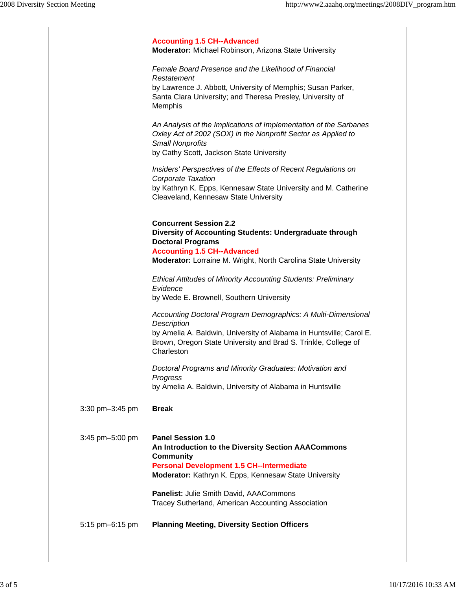|                 | <b>Accounting 1.5 CH--Advanced</b>                                                                                                                                                                                                  |
|-----------------|-------------------------------------------------------------------------------------------------------------------------------------------------------------------------------------------------------------------------------------|
|                 | <b>Moderator:</b> Michael Robinson, Arizona State University                                                                                                                                                                        |
|                 | Female Board Presence and the Likelihood of Financial<br>Restatement<br>by Lawrence J. Abbott, University of Memphis; Susan Parker,<br>Santa Clara University; and Theresa Presley, University of<br>Memphis                        |
|                 | An Analysis of the Implications of Implementation of the Sarbanes<br>Oxley Act of 2002 (SOX) in the Nonprofit Sector as Applied to<br>Small Nonprofits<br>by Cathy Scott, Jackson State University                                  |
|                 | Insiders' Perspectives of the Effects of Recent Regulations on<br>Corporate Taxation<br>by Kathryn K. Epps, Kennesaw State University and M. Catherine<br>Cleaveland, Kennesaw State University                                     |
|                 | <b>Concurrent Session 2.2</b><br>Diversity of Accounting Students: Undergraduate through<br><b>Doctoral Programs</b><br><b>Accounting 1.5 CH--Advanced</b><br>Moderator: Lorraine M. Wright, North Carolina State University        |
|                 | <b>Ethical Attitudes of Minority Accounting Students: Preliminary</b><br>Evidence<br>by Wede E. Brownell, Southern University                                                                                                       |
|                 | Accounting Doctoral Program Demographics: A Multi-Dimensional<br>Description<br>by Amelia A. Baldwin, University of Alabama in Huntsville; Carol E.<br>Brown, Oregon State University and Brad S. Trinkle, College of<br>Charleston |
|                 | Doctoral Programs and Minority Graduates: Motivation and<br>Progress<br>by Amelia A. Baldwin, University of Alabama in Huntsville                                                                                                   |
| 3:30 pm-3:45 pm | <b>Break</b>                                                                                                                                                                                                                        |
| 3:45 pm-5:00 pm | Panel Session 1.0<br>An Introduction to the Diversity Section AAACommons<br><b>Community</b><br><b>Personal Development 1.5 CH--Intermediate</b><br>Moderator: Kathryn K. Epps, Kennesaw State University                           |
|                 | Panelist: Julie Smith David, AAACommons<br>Tracey Sutherland, American Accounting Association                                                                                                                                       |
| 5:15 pm-6:15 pm | <b>Planning Meeting, Diversity Section Officers</b>                                                                                                                                                                                 |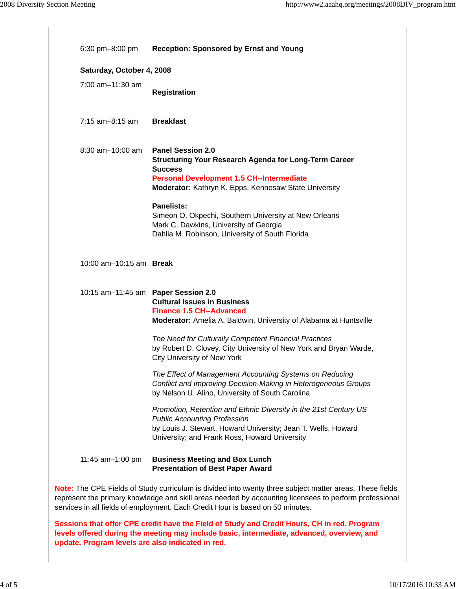| $6:30 \text{ pm} - 8:00 \text{ pm}$                                                                                                                                                                                                                                                                  | <b>Reception: Sponsored by Ernst and Young</b>                                                                                                                                                                                                                                                                                                                                                                                                     |  |
|------------------------------------------------------------------------------------------------------------------------------------------------------------------------------------------------------------------------------------------------------------------------------------------------------|----------------------------------------------------------------------------------------------------------------------------------------------------------------------------------------------------------------------------------------------------------------------------------------------------------------------------------------------------------------------------------------------------------------------------------------------------|--|
| Saturday, October 4, 2008                                                                                                                                                                                                                                                                            |                                                                                                                                                                                                                                                                                                                                                                                                                                                    |  |
| $7:00$ am $-11:30$ am                                                                                                                                                                                                                                                                                | <b>Registration</b>                                                                                                                                                                                                                                                                                                                                                                                                                                |  |
| $7:15$ am-8:15 am                                                                                                                                                                                                                                                                                    | <b>Breakfast</b>                                                                                                                                                                                                                                                                                                                                                                                                                                   |  |
| $8:30$ am $-10:00$ am                                                                                                                                                                                                                                                                                | <b>Panel Session 2.0</b><br><b>Structuring Your Research Agenda for Long-Term Career</b><br><b>Success</b><br><b>Personal Development 1.5 CH--Intermediate</b><br>Moderator: Kathryn K. Epps, Kennesaw State University<br><b>Panelists:</b><br>Simeon O. Okpechi, Southern University at New Orleans<br>Mark C. Dawkins, University of Georgia<br>Dahlia M. Robinson, University of South Florida                                                 |  |
| 10:00 am-10:15 am Break                                                                                                                                                                                                                                                                              |                                                                                                                                                                                                                                                                                                                                                                                                                                                    |  |
| 10:15 am-11:45 am Paper Session 2.0                                                                                                                                                                                                                                                                  | <b>Cultural Issues in Business</b><br><b>Finance 1.5 CH--Advanced</b><br><b>Moderator:</b> Amelia A. Baldwin, University of Alabama at Huntsville<br>The Need for Culturally Competent Financial Practices<br>by Robert D. Clovey, City University of New York and Bryan Warde,<br><b>City University of New York</b><br>The Effect of Management Accounting Systems on Reducing<br>Conflict and Improving Decision-Making in Heterogeneous Groups |  |
|                                                                                                                                                                                                                                                                                                      | by Nelson U. Alino, University of South Carolina<br>Promotion, Retention and Ethnic Diversity in the 21st Century US<br><b>Public Accounting Profession</b><br>by Louis J. Stewart, Howard University; Jean T. Wells, Howard<br>University; and Frank Ross, Howard University                                                                                                                                                                      |  |
| 11:45 am-1:00 pm                                                                                                                                                                                                                                                                                     | <b>Business Meeting and Box Lunch</b><br><b>Presentation of Best Paper Award</b>                                                                                                                                                                                                                                                                                                                                                                   |  |
| Note: The CPE Fields of Study curriculum is divided into twenty three subject matter areas. These fields<br>represent the primary knowledge and skill areas needed by accounting licensees to perform professional<br>services in all fields of employment. Each Credit Hour is based on 50 minutes. |                                                                                                                                                                                                                                                                                                                                                                                                                                                    |  |

**Sessions that offer CPE credit have the Field of Study and Credit Hours, CH in red. Program levels offered during the meeting may include basic, intermediate, advanced, overview, and update. Program levels are also indicated in red.**